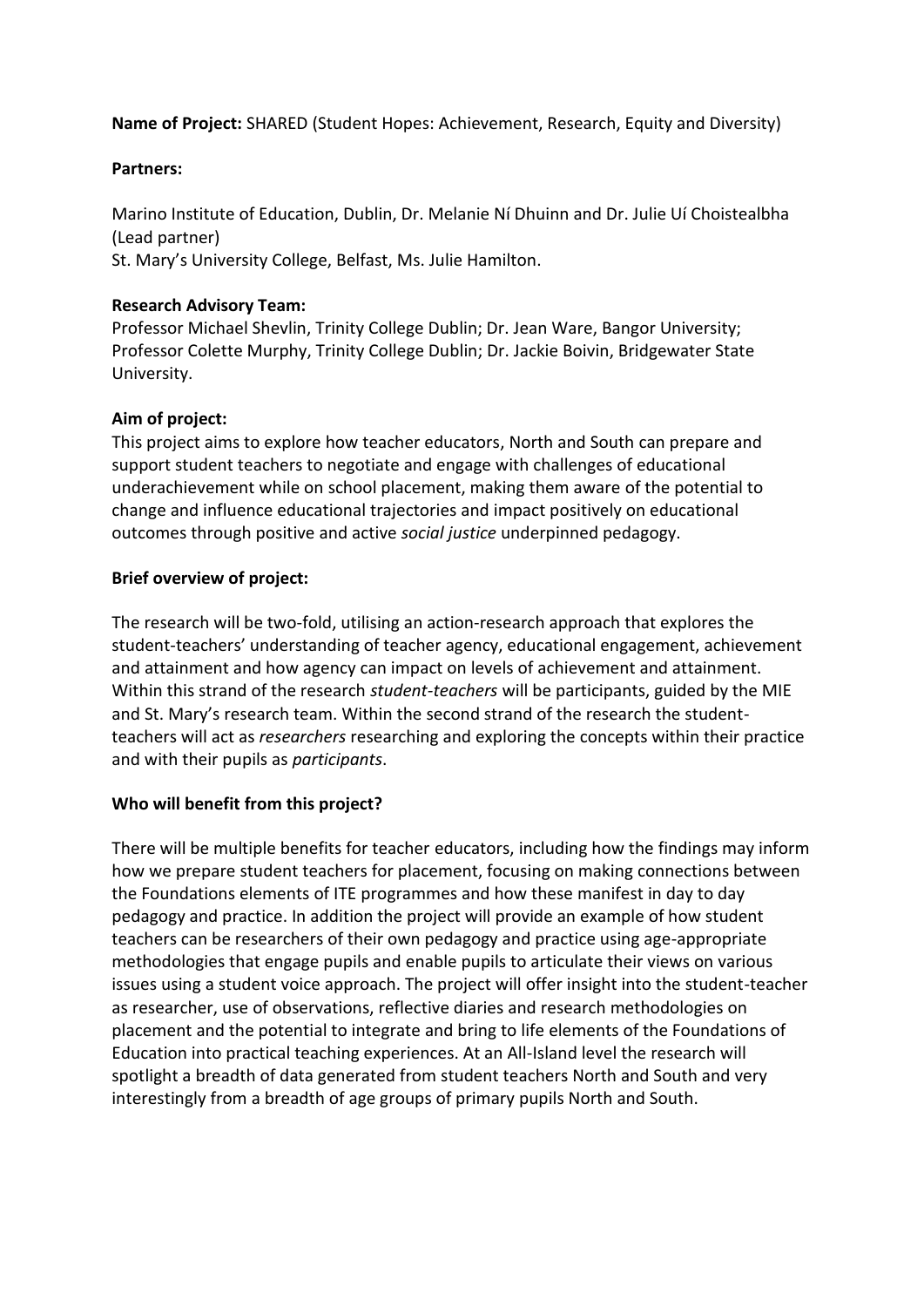**Name of Project:** SHARED (Student Hopes: Achievement, Research, Equity and Diversity)

# **Partners:**

Marino Institute of Education, Dublin, Dr. Melanie Ní Dhuinn and Dr. Julie Uí Choistealbha (Lead partner) St. Mary's University College, Belfast, Ms. Julie Hamilton.

# **Research Advisory Team:**

Professor Michael Shevlin, Trinity College Dublin; Dr. Jean Ware, Bangor University; Professor Colette Murphy, Trinity College Dublin; Dr. Jackie Boivin, Bridgewater State University.

# **Aim of project:**

This project aims to explore how teacher educators, North and South can prepare and support student teachers to negotiate and engage with challenges of educational underachievement while on school placement, making them aware of the potential to change and influence educational trajectories and impact positively on educational outcomes through positive and active *social justice* underpinned pedagogy.

# **Brief overview of project:**

The research will be two-fold, utilising an action-research approach that explores the student-teachers' understanding of teacher agency, educational engagement, achievement and attainment and how agency can impact on levels of achievement and attainment. Within this strand of the research *student-teachers* will be participants, guided by the MIE and St. Mary's research team. Within the second strand of the research the studentteachers will act as *researchers* researching and exploring the concepts within their practice and with their pupils as *participants*.

# **Who will benefit from this project?**

There will be multiple benefits for teacher educators, including how the findings may inform how we prepare student teachers for placement, focusing on making connections between the Foundations elements of ITE programmes and how these manifest in day to day pedagogy and practice. In addition the project will provide an example of how student teachers can be researchers of their own pedagogy and practice using age-appropriate methodologies that engage pupils and enable pupils to articulate their views on various issues using a student voice approach. The project will offer insight into the student-teacher as researcher, use of observations, reflective diaries and research methodologies on placement and the potential to integrate and bring to life elements of the Foundations of Education into practical teaching experiences. At an All-Island level the research will spotlight a breadth of data generated from student teachers North and South and very interestingly from a breadth of age groups of primary pupils North and South.